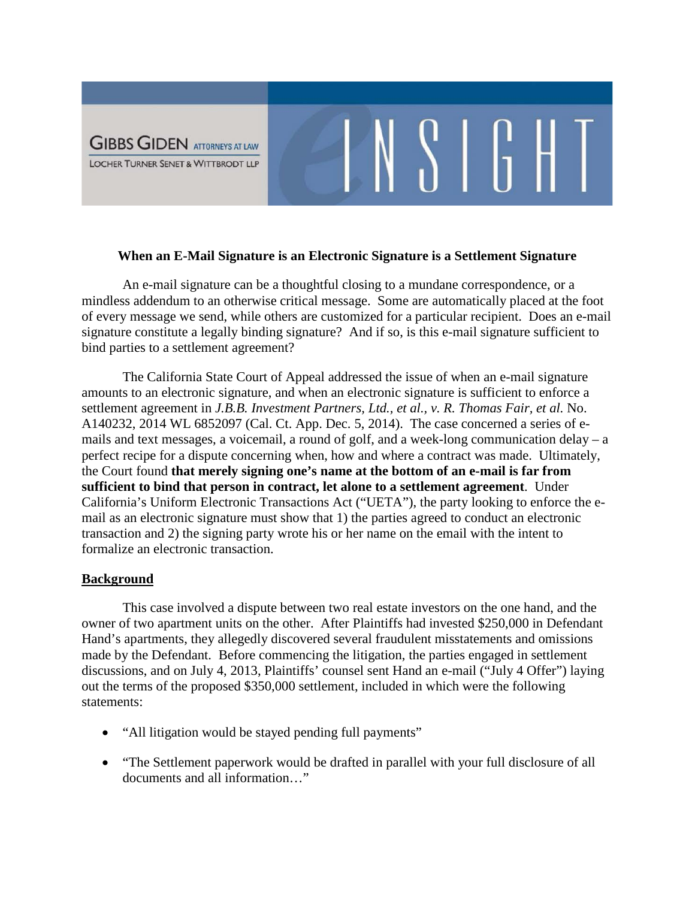

## **When an E-Mail Signature is an Electronic Signature is a Settlement Signature**

 $\begin{array}{c|c|c|c|c|c} \text{S} & \text{B} & \text{H} & \text{B} \\ \end{array}$ 

An e-mail signature can be a thoughtful closing to a mundane correspondence, or a mindless addendum to an otherwise critical message. Some are automatically placed at the foot of every message we send, while others are customized for a particular recipient. Does an e-mail signature constitute a legally binding signature? And if so, is this e-mail signature sufficient to bind parties to a settlement agreement?

The California State Court of Appeal addressed the issue of when an e-mail signature amounts to an electronic signature, and when an electronic signature is sufficient to enforce a settlement agreement in *J.B.B. Investment Partners, Ltd., et al., v. R. Thomas Fair, et al.* No. A140232, 2014 WL 6852097 (Cal. Ct. App. Dec. 5, 2014). The case concerned a series of emails and text messages, a voicemail, a round of golf, and a week-long communication delay – a perfect recipe for a dispute concerning when, how and where a contract was made. Ultimately, the Court found **that merely signing one's name at the bottom of an e-mail is far from sufficient to bind that person in contract, let alone to a settlement agreement**. Under California's Uniform Electronic Transactions Act ("UETA"), the party looking to enforce the email as an electronic signature must show that 1) the parties agreed to conduct an electronic transaction and 2) the signing party wrote his or her name on the email with the intent to formalize an electronic transaction.

# **Background**

This case involved a dispute between two real estate investors on the one hand, and the owner of two apartment units on the other. After Plaintiffs had invested \$250,000 in Defendant Hand's apartments, they allegedly discovered several fraudulent misstatements and omissions made by the Defendant. Before commencing the litigation, the parties engaged in settlement discussions, and on July 4, 2013, Plaintiffs' counsel sent Hand an e-mail ("July 4 Offer") laying out the terms of the proposed \$350,000 settlement, included in which were the following statements:

- "All litigation would be stayed pending full payments"
- "The Settlement paperwork would be drafted in parallel with your full disclosure of all documents and all information…"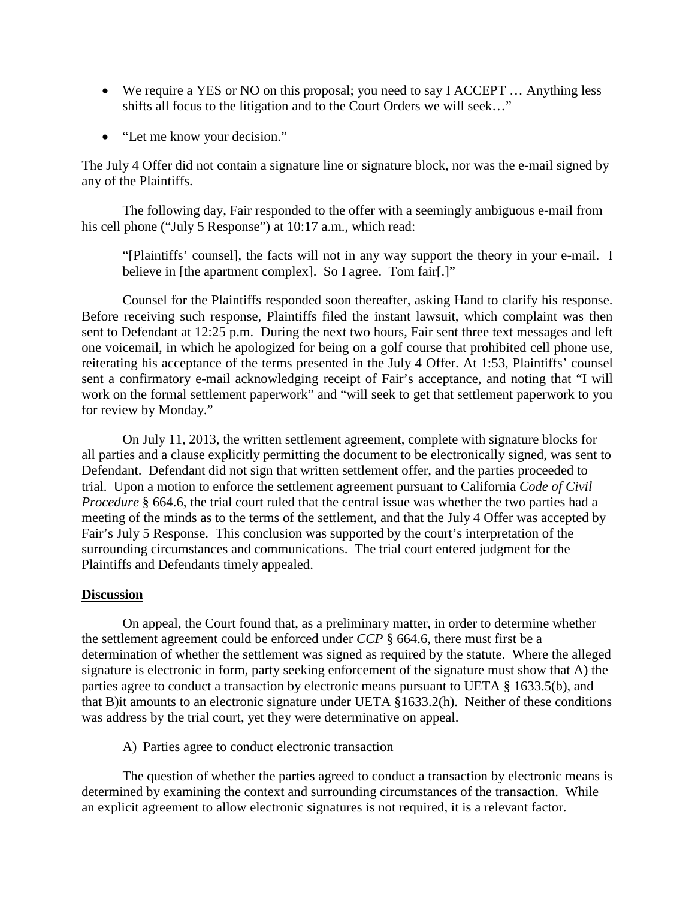- We require a YES or NO on this proposal; you need to say I ACCEPT ... Anything less shifts all focus to the litigation and to the Court Orders we will seek…"
- "Let me know your decision."

The July 4 Offer did not contain a signature line or signature block, nor was the e-mail signed by any of the Plaintiffs.

The following day, Fair responded to the offer with a seemingly ambiguous e-mail from his cell phone ("July 5 Response") at 10:17 a.m., which read:

"[Plaintiffs' counsel], the facts will not in any way support the theory in your e-mail. I believe in [the apartment complex]. So I agree. Tom fair[.]"

Counsel for the Plaintiffs responded soon thereafter, asking Hand to clarify his response. Before receiving such response, Plaintiffs filed the instant lawsuit, which complaint was then sent to Defendant at 12:25 p.m. During the next two hours, Fair sent three text messages and left one voicemail, in which he apologized for being on a golf course that prohibited cell phone use, reiterating his acceptance of the terms presented in the July 4 Offer. At 1:53, Plaintiffs' counsel sent a confirmatory e-mail acknowledging receipt of Fair's acceptance, and noting that "I will work on the formal settlement paperwork" and "will seek to get that settlement paperwork to you for review by Monday."

On July 11, 2013, the written settlement agreement, complete with signature blocks for all parties and a clause explicitly permitting the document to be electronically signed, was sent to Defendant. Defendant did not sign that written settlement offer, and the parties proceeded to trial. Upon a motion to enforce the settlement agreement pursuant to California *Code of Civil Procedure* § 664.6, the trial court ruled that the central issue was whether the two parties had a meeting of the minds as to the terms of the settlement, and that the July 4 Offer was accepted by Fair's July 5 Response. This conclusion was supported by the court's interpretation of the surrounding circumstances and communications. The trial court entered judgment for the Plaintiffs and Defendants timely appealed.

# **Discussion**

On appeal, the Court found that, as a preliminary matter, in order to determine whether the settlement agreement could be enforced under *CCP* § 664.6, there must first be a determination of whether the settlement was signed as required by the statute. Where the alleged signature is electronic in form, party seeking enforcement of the signature must show that A) the parties agree to conduct a transaction by electronic means pursuant to UETA § 1633.5(b), and that B)it amounts to an electronic signature under UETA §1633.2(h). Neither of these conditions was address by the trial court, yet they were determinative on appeal.

# A) Parties agree to conduct electronic transaction

The question of whether the parties agreed to conduct a transaction by electronic means is determined by examining the context and surrounding circumstances of the transaction. While an explicit agreement to allow electronic signatures is not required, it is a relevant factor.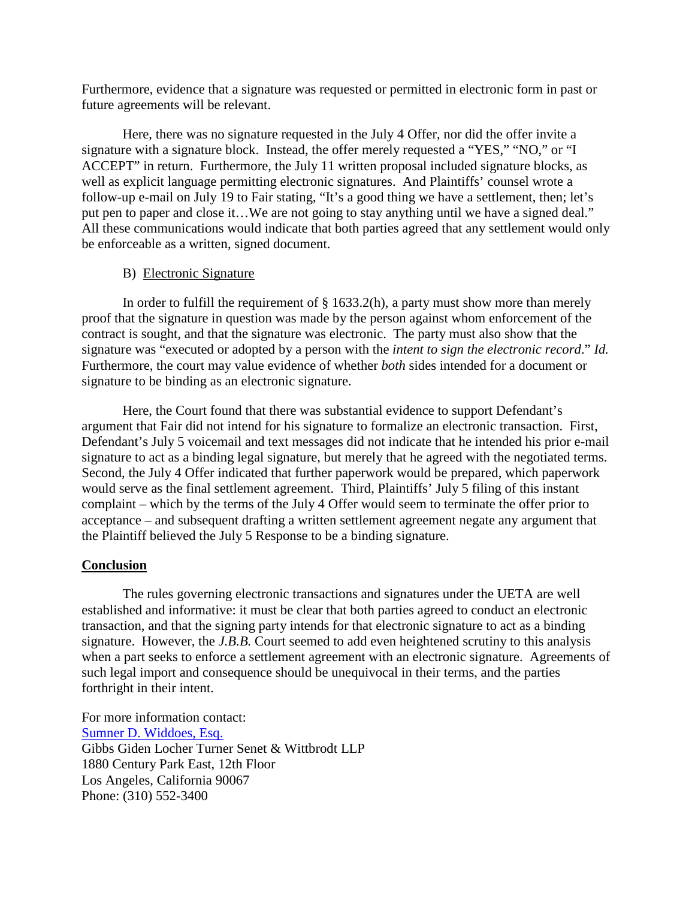Furthermore, evidence that a signature was requested or permitted in electronic form in past or future agreements will be relevant.

Here, there was no signature requested in the July 4 Offer, nor did the offer invite a signature with a signature block. Instead, the offer merely requested a "YES," "NO," or "I ACCEPT" in return. Furthermore, the July 11 written proposal included signature blocks, as well as explicit language permitting electronic signatures. And Plaintiffs' counsel wrote a follow-up e-mail on July 19 to Fair stating, "It's a good thing we have a settlement, then; let's put pen to paper and close it…We are not going to stay anything until we have a signed deal." All these communications would indicate that both parties agreed that any settlement would only be enforceable as a written, signed document.

# B) Electronic Signature

In order to fulfill the requirement of  $\S$  1633.2(h), a party must show more than merely proof that the signature in question was made by the person against whom enforcement of the contract is sought, and that the signature was electronic. The party must also show that the signature was "executed or adopted by a person with the *intent to sign the electronic record*." *Id.* Furthermore, the court may value evidence of whether *both* sides intended for a document or signature to be binding as an electronic signature.

Here, the Court found that there was substantial evidence to support Defendant's argument that Fair did not intend for his signature to formalize an electronic transaction. First, Defendant's July 5 voicemail and text messages did not indicate that he intended his prior e-mail signature to act as a binding legal signature, but merely that he agreed with the negotiated terms. Second, the July 4 Offer indicated that further paperwork would be prepared, which paperwork would serve as the final settlement agreement. Third, Plaintiffs' July 5 filing of this instant complaint – which by the terms of the July 4 Offer would seem to terminate the offer prior to acceptance – and subsequent drafting a written settlement agreement negate any argument that the Plaintiff believed the July 5 Response to be a binding signature.

# **Conclusion**

The rules governing electronic transactions and signatures under the UETA are well established and informative: it must be clear that both parties agreed to conduct an electronic transaction, and that the signing party intends for that electronic signature to act as a binding signature. However, the *J.B.B.* Court seemed to add even heightened scrutiny to this analysis when a part seeks to enforce a settlement agreement with an electronic signature. Agreements of such legal import and consequence should be unequivocal in their terms, and the parties forthright in their intent.

For more information contact: [Sumner D. Widdoes, Esq.](http://www.ggltsw.com/attorneysii/sam-widdoes) Gibbs Giden Locher Turner Senet & Wittbrodt LLP 1880 Century Park East, 12th Floor Los Angeles, California 90067 Phone: (310) 552-3400